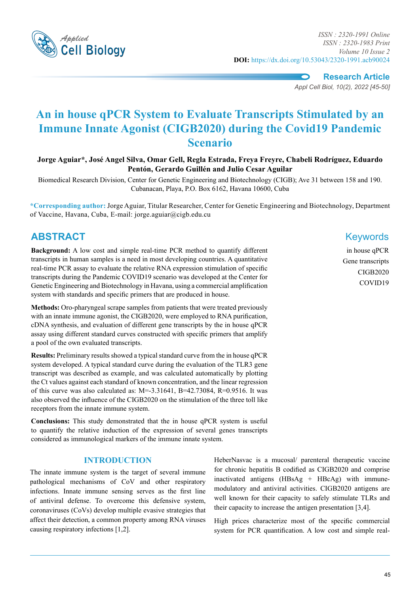

*Applied ISSN : 2320-1991 Online ISSN : 2320-1983 Print Volume 10 Issue 2* **DOI:** https://dx.doi.org/10.53043/2320-1991.acb90024

> **Research Article** *Appl Cell Biol, 10(2), 2022 [45-50]*

# **An in house qPCR System to Evaluate Transcripts Stimulated by an Immune Innate Agonist (CIGB2020) during the Covid19 Pandemic Scenario**

**Jorge Aguiar\*, José Angel Silva, Omar Gell, Regla Estrada, Freya Freyre, Chabeli Rodríguez, Eduardo Pentón, Gerardo Guillén and Julio Cesar Aguilar**

Biomedical Research Division, Center for Genetic Engineering and Biotechnology (CIGB); Ave 31 between 158 and 190. Cubanacan, Playa, P.O. Box 6162, Havana 10600, Cuba

**\*Corresponding author:** Jorge Aguiar, Titular Researcher, Center for Genetic Engineering and Biotechnology, Department of Vaccine, Havana, Cuba, E-mail: jorge.aguiar@cigb.edu.cu

# **Abstract** Keywords

**Background:** A low cost and simple real-time PCR method to quantify different transcripts in human samples is a need in most developing countries. A quantitative real-time PCR assay to evaluate the relative RNA expression stimulation of specific transcripts during the Pandemic COVID19 scenario was developed at the Center for Genetic Engineering and Biotechnology in Havana, using a commercial amplification system with standards and specific primers that are produced in house.

**Methods:** Oro-pharyngeal scrape samples from patients that were treated previously with an innate immune agonist, the CIGB2020, were employed to RNA purification, cDNA synthesis, and evaluation of different gene transcripts by the in house qPCR assay using different standard curves constructed with specific primers that amplify a pool of the own evaluated transcripts.

**Results:** Preliminary results showed a typical standard curve from the in house qPCR system developed. A typical standard curve during the evaluation of the TLR3 gene transcript was described as example, and was calculated automatically by plotting the Ct values against each standard of known concentration, and the linear regression of this curve was also calculated as:  $M = -3.31641$ ,  $B = 42.73084$ ,  $R = 0.9516$ . It was also observed the influence of the CIGB2020 on the stimulation of the three toll like receptors from the innate immune system.

**Conclusions:** This study demonstrated that the in house qPCR system is useful to quantify the relative induction of the expression of several genes transcripts considered as immunological markers of the immune innate system.

# **Introduction**

The innate immune system is the target of several immune pathological mechanisms of CoV and other respiratory infections. Innate immune sensing serves as the first line of antiviral defense. To overcome this defensive system, coronaviruses (CoVs) develop multiple evasive strategies that affect their detection, a common property among RNA viruses causing respiratory infections [1,2].

in house qPCR Gene transcripts CIGB2020 COVID19

HeberNasvac is a mucosal/ parenteral therapeutic vaccine for chronic hepatitis B codified as CIGB2020 and comprise inactivated antigens (HBsAg + HBcAg) with immunemodulatory and antiviral activities. CIGB2020 antigens are well known for their capacity to safely stimulate TLRs and their capacity to increase the antigen presentation [3,4].

High prices characterize most of the specific commercial system for PCR quantification. A low cost and simple real-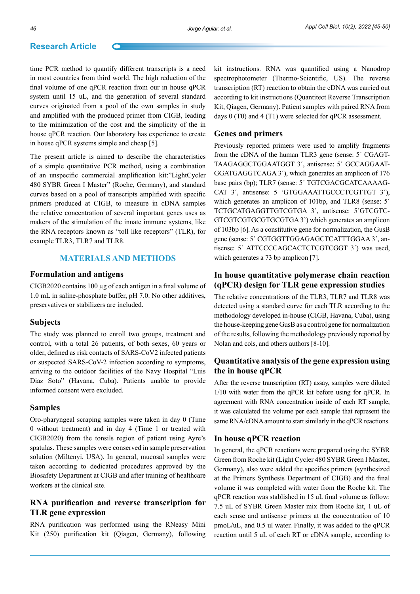time PCR method to quantify different transcripts is a need in most countries from third world. The high reduction of the final volume of one qPCR reaction from our in house qPCR system until 15 uL, and the generation of several standard curves originated from a pool of the own samples in study and amplified with the produced primer from CIGB, leading to the minimization of the cost and the simplicity of the in house qPCR reaction. Our laboratory has experience to create in house qPCR systems simple and cheap [5].

The present article is aimed to describe the characteristics of a simple quantitative PCR method, using a combination of an unspecific commercial amplification kit:"LightCycler 480 SYBR Green I Master" (Roche, Germany), and standard curves based on a pool of transcripts amplified with specific primers produced at CIGB, to measure in cDNA samples the relative concentration of several important genes uses as makers of the stimulation of the innate immune systems, like the RNA receptors known as "toll like receptors" (TLR), for example TLR3, TLR7 and TLR8.

# **Materials and Methods**

### **Formulation and antigens**

CIGB2020 contains 100 µg of each antigen in a final volume of 1.0 mL in saline-phosphate buffer, pH 7.0. No other additives, preservatives or stabilizers are included.

#### **Subjects**

The study was planned to enroll two groups, treatment and control, with a total 26 patients, of both sexes, 60 years or older, defined as risk contacts of SARS-CoV2 infected patients or suspected SARS-CoV-2 infection according to symptoms, arriving to the outdoor facilities of the Navy Hospital "Luis Diaz Soto" (Havana, Cuba). Patients unable to provide informed consent were excluded.

#### **Samples**

Oro-pharyngeal scraping samples were taken in day 0 (Time 0 without treatment) and in day 4 (Time 1 or treated with CIGB2020) from the tonsils region of patient using Ayre's spatulas. These samples were conserved in sample preservation solution (Miltenyi, USA). In general, mucosal samples were taken according to dedicated procedures approved by the Biosafety Department at CIGB and after training of healthcare workers at the clinical site.

# **RNA purification and reverse transcription for TLR gene expression**

RNA purification was performed using the RNeasy Mini Kit (250) purification kit (Qiagen, Germany), following kit instructions. RNA was quantified using a Nanodrop spectrophotometer (Thermo-Scientific, US). The reverse transcription (RT) reaction to obtain the cDNA was carried out according to kit instructions (Quantitect Reverse Transcription Kit, Qiagen, Germany). Patient samples with paired RNA from days 0 (T0) and 4 (T1) were selected for qPCR assessment.

#### **Genes and primers**

Previously reported primers were used to amplify fragments from the cDNA of the human TLR3 gene (sense: 5´ CGAGT-TAAGAGGCTGGAATGGT 3´, antisense: 5´ GCCAGGAAT-GGATGAGGTCAGA 3´), which generates an amplicon of 176 base pairs (bp); TLR7 (sense: 5´ TGTCGACGCATCAAAAG-CAT 3´, antisense: 5 'GTGGAAATTGCCCTCGTTGT 3´), which generates an amplicon of 101bp, and TLR8 (sense: 5<sup> $\prime$ </sup>) TCTGCATGAGGTTGTCGTGA 3´, antisense: 5´GTCGTC-GTCGTCGTGCGTGCGTGA 3') which generates an amplicon of 103bp [6]. As a constitutive gene for normalization, the GusB gene (sense: 5´ CGTGGTTGGAGAGCTCATTTGGAA 3´, antisense: 5´ ATTCCCCAGCACTCTCGTCGGT 3´) was used, which generates a 73 bp amplicon [7].

# **In house quantitative polymerase chain reaction (qPCR) design for TLR gene expression studies**

The relative concentrations of the TLR3, TLR7 and TLR8 was detected using a standard curve for each TLR according to the methodology developed in-house (CIGB, Havana, Cuba), using the house-keeping gene GusB as a control gene for normalization of the results, following the methodology previously reported by Nolan and cols, and others authors [8-10].

## **Quantitative analysis of the gene expression using the in house qPCR**

After the reverse transcription (RT) assay, samples were diluted 1/10 with water from the qPCR kit before using for qPCR. In agreement with RNA concentration inside of each RT sample, it was calculated the volume per each sample that represent the same RNA/cDNA amount to start similarly in the qPCR reactions.

#### **In house qPCR reaction**

In general, the qPCR reactions were prepared using the SYBR Green from Roche kit (Light Cycler 480 SYBR Green I Master, Germany), also were added the specifics primers (synthesized at the Primers Synthesis Department of CIGB) and the final volume it was completed with water from the Roche kit. The qPCR reaction was stablished in 15 uL final volume as follow: 7.5 uL of SYBR Green Master mix from Roche kit, 1 uL of each sense and antisense primers at the concentration of 10 pmoL/uL, and 0.5 ul water. Finally, it was added to the qPCR reaction until 5 uL of each RT or cDNA sample, according to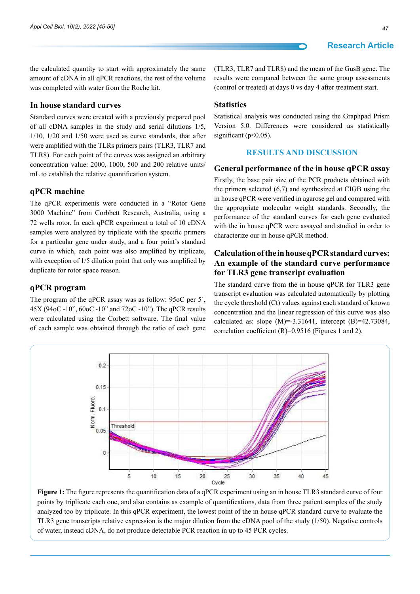the calculated quantity to start with approximately the same amount of cDNA in all qPCR reactions, the rest of the volume was completed with water from the Roche kit.

### **In house standard curves**

Standard curves were created with a previously prepared pool of all cDNA samples in the study and serial dilutions 1/5, 1/10, 1/20 and 1/50 were used as curve standards, that after were amplified with the TLRs primers pairs (TLR3, TLR7 and TLR8). For each point of the curves was assigned an arbitrary concentration value: 2000, 1000, 500 and 200 relative units/ mL to establish the relative quantification system.

#### **qPCR machine**

The qPCR experiments were conducted in a "Rotor Gene 3000 Machine" from Corbbett Research, Australia, using a 72 wells rotor. In each qPCR experiment a total of 10 cDNA samples were analyzed by triplicate with the specific primers for a particular gene under study, and a four point's standard curve in which, each point was also amplified by triplicate, with exception of  $1/5$  dilution point that only was amplified by duplicate for rotor space reason.

#### **qPCR program**

The program of the qPCR assay was as follow: 95oC per 5´, 45X (94oC -10", 60oC -10" and 72oC -10"). The qPCR results were calculated using the Corbett software. The final value of each sample was obtained through the ratio of each gene (TLR3, TLR7 and TLR8) and the mean of the GusB gene. The results were compared between the same group assessments (control or treated) at days 0 vs day 4 after treatment start.

#### **Statistics**

Statistical analysis was conducted using the Graphpad Prism Version 5.0. Differences were considered as statistically significant (p<0.05).

### **Results and Discussion**

## **General performance of the in house qPCR assay**

Firstly, the base pair size of the PCR products obtained with the primers selected (6,7) and synthesized at CIGB using the in house qPCR were verified in agarose gel and compared with the appropriate molecular weight standards. Secondly, the performance of the standard curves for each gene evaluated with the in house qPCR were assayed and studied in order to characterize our in house qPCR method.

# **Calculation of the in house qPCR standard curves: An example of the standard curve performance for TLR3 gene transcript evaluation**

The standard curve from the in house qPCR for TLR3 gene transcript evaluation was calculated automatically by plotting the cycle threshold (Ct) values against each standard of known concentration and the linear regression of this curve was also calculated as: slope  $(M) = -3.31641$ , intercept  $(B) = 42.73084$ , correlation coefficient (R)=0.9516 (Figures 1 and 2).



**Figure 1:** The figure represents the quantification data of a qPCR experiment using an in house TLR3 standard curve of four points by triplicate each one, and also contains as example of quantifications, data from three patient samples of the study analyzed too by triplicate. In this qPCR experiment, the lowest point of the in house qPCR standard curve to evaluate the TLR3 gene transcripts relative expression is the major dilution from the cDNA pool of the study (1/50). Negative controls of water, instead cDNA, do not produce detectable PCR reaction in up to 45 PCR cycles.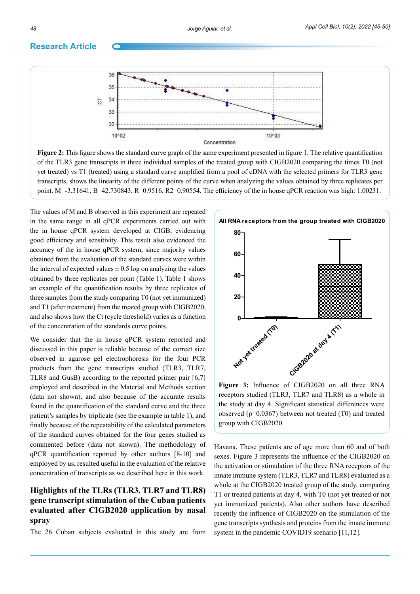

**Figure 2:** This figure shows the standard curve graph of the same experiment presented in figure 1. The relative quantification of the TLR3 gene transcripts in three individual samples of the treated group with CIGB2020 comparing the times T0 (not yet treated) vs T1 (treated) using a standard curve amplified from a pool of cDNA with the selected primers for TLR3 gene transcripts, shows the linearity of the different points of the curve when analyzing the values obtained by three replicates per point. M=-3.31641, B=42.730843, R=0.9516, R2=0.90554. The efficiency of the in house qPCR reaction was high: 1.00231.

The values of M and B observed in this experiment are repeated in the same range in all qPCR experiments carried out with the in house qPCR system developed at CIGB, evidencing good efficiency and sensitivity. This result also evidenced the accuracy of the in house qPCR system, since majority values obtained from the evaluation of the standard curves were within the interval of expected values  $\pm 0.5$  log on analyzing the values obtained by three replicates per point (Table 1). Table 1 shows an example of the quantification results by three replicates of three samples from the study comparing T0 (not yet immunized) and T1 (after treatment) from the treated group with CIGB2020, and also shows how the Ct (cycle threshold) varies as a function of the concentration of the standards curve points.

We consider that the in house qPCR system reported and discussed in this paper is reliable because of the correct size observed in agarose gel electrophoresis for the four PCR products from the gene transcripts studied (TLR3, TLR7, TLR8 and GusB) according to the reported primer pair [6,7] employed and described in the Material and Methods section (data not shown), and also because of the accurate results found in the quantification of the standard curve and the three patient's samples by triplicate (see the example in table 1), and finally because of the repeatability of the calculated parameters of the standard curves obtained for the four genes studied as commented before (data not shown). The methodology of qPCR quantification reported by other authors [8-10] and employed by us, resulted useful in the evaluation of the relative concentration of transcripts as we described here in this work.

# **Highlights of the TLRs (TLR3, TLR7 and TLR8) gene transcript stimulation of the Cuban patients evaluated after CIGB2020 application by nasal spray**

The 26 Cuban subjects evaluated in this study are from



**Figure 3:** Influence of CIGB2020 on all three RNA receptors studied (TLR3, TLR7 and TLR8) as a whole in the study at day 4. Significant statistical differences were observed (p=0.0367) between not treated (T0) and treated group with CIGB2020

Havana. These patients are of age more than 60 and of both sexes. Figure 3 represents the influence of the CIGB2020 on the activation or stimulation of the three RNA receptors of the innate immune system (TLR3, TLR7 and TLR8) evaluated as a whole at the CIGB2020 treated group of the study, comparing T1 or treated patients at day 4, with T0 (not yet treated or not yet immunized patients). Also other authors have described recently the influence of CIGB2020 on the stimulation of the gene transcripts synthesis and proteins from the innate immune system in the pandemic COVID19 scenario [11,12].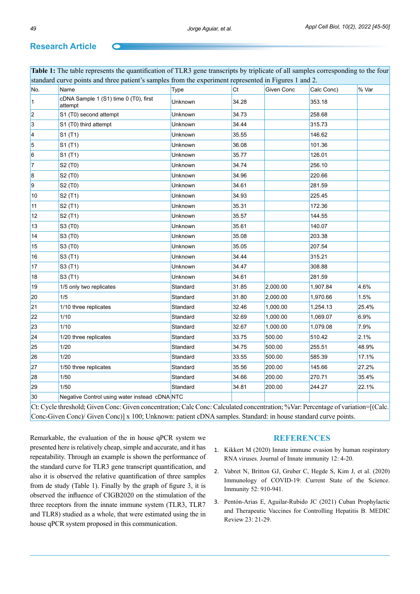| No.            | Name                                             | Type     | Ct    | Given Conc | Calc Conc) | % Var |
|----------------|--------------------------------------------------|----------|-------|------------|------------|-------|
| $\overline{1}$ | cDNA Sample 1 (S1) time 0 (T0), first<br>attempt | Unknown  | 34.28 |            | 353.18     |       |
| $\vert$ 2      | S1 (T0) second attempt                           | Unknown  | 34.73 |            | 258.68     |       |
| 3              | S1 (T0) third attempt                            | Unknown  | 34.44 |            | 315.73     |       |
| 4              | S1 (T1)                                          | Unknown  | 35.55 |            | 146.62     |       |
| 5              | S1 (T1)                                          | Unknown  | 36.08 |            | 101.36     |       |
| 6              | S1 (T1)                                          | Unknown  | 35.77 |            | 126.01     |       |
| $\vert$ 7      | S2 (T0)                                          | Unknown  | 34.74 |            | 256.10     |       |
| 8              | S2 (T0)                                          | Unknown  | 34.96 |            | 220.66     |       |
| $\overline{9}$ | S2 (T0)                                          | Unknown  | 34.61 |            | 281.59     |       |
| 10             | S2 (T1)                                          | Unknown  | 34.93 |            | 225.45     |       |
| 11             | S2 (T1)                                          | Unknown  | 35.31 |            | 172.36     |       |
| 12             | S2 (T1)                                          | Unknown  | 35.57 |            | 144.55     |       |
| 13             | S3 (T0)                                          | Unknown  | 35.61 |            | 140.07     |       |
| 14             | S3 (T0)                                          | Unknown  | 35.08 |            | 203.38     |       |
| 15             | S3 (T0)                                          | Unknown  | 35.05 |            | 207.54     |       |
| 16             | S3 (T1)                                          | Unknown  | 34.44 |            | 315.21     |       |
| 17             | S3 (T1)                                          | Unknown  | 34.47 |            | 308.88     |       |
| 18             | S3 (T1)                                          | Unknown  | 34.61 |            | 281.59     |       |
| 19             | 1/5 only two replicates                          | Standard | 31.85 | 2,000.00   | 1,907.84   | 4.6%  |
| 20             | 1/5                                              | Standard | 31.80 | 2,000.00   | 1,970.66   | 1.5%  |
| 21             | 1/10 three replicates                            | Standard | 32.46 | 1,000.00   | 1,254.13   | 25.4% |
| 22             | 1/10                                             | Standard | 32.69 | 1,000.00   | 1,069.07   | 6.9%  |
| 23             | 1/10                                             | Standard | 32.67 | 1,000.00   | 1,079.08   | 7.9%  |
| 24             | 1/20 three replicates                            | Standard | 33.75 | 500.00     | 510.42     | 2.1%  |
| 25             | 1/20                                             | Standard | 34.75 | 500.00     | 255.51     | 48.9% |
| 26             | 1/20                                             | Standard | 33.55 | 500.00     | 585.39     | 17.1% |
| 27             | 1/50 three replicates                            | Standard | 35.56 | 200.00     | 145.66     | 27.2% |
| 28             | 1/50                                             | Standard | 34.66 | 200.00     | 270.71     | 35.4% |
| 29             | 1/50                                             | Standard | 34.81 | 200.00     | 244.27     | 22.1% |
| 30             | Negative Control using water instead cDNA NTC    |          |       |            |            |       |

Conc-Given Conc)/ Given Conc)] x 100; Unknown: patient cDNA samples. Standard: in house standard curve points.

Remarkable, the evaluation of the in house qPCR system we presented here is relatively cheap, simple and accurate, and it has repeatability. Through an example is shown the performance of the standard curve for TLR3 gene transcript quantification, and also it is observed the relative quantification of three samples from de study (Table 1). Finally by the graph of figure 3, it is observed the influence of CIGB2020 on the stimulation of the three receptors from the innate immune system (TLR3, TLR7 and TLR8) studied as a whole, that were estimated using the in house qPCR system proposed in this communication.

#### **References**

- 1. [Kikkert M \(2020\) Innate immune evasion by human respiratory](https://www.ncbi.nlm.nih.gov/pmc/articles/PMC6959104/)  [RNA viruses. Journal of Innate immunity 12: 4-20.](https://www.ncbi.nlm.nih.gov/pmc/articles/PMC6959104/)
- 2. [Vabret N, Britton GJ, Gruber C, Hegde S, Kim J, et al. \(2020\)](https://www.ncbi.nlm.nih.gov/pmc/articles/PMC7200337/)  [Immunology of COVID-19: Current State of the Science.](https://www.ncbi.nlm.nih.gov/pmc/articles/PMC7200337/)  [Immunity 52: 910-941.](https://www.ncbi.nlm.nih.gov/pmc/articles/PMC7200337/)
- 3. [Pentón-Arias E, Aguilar-Rubido JC \(2021\) Cuban Prophylactic](https://europepmc.org/article/MED/33780419)  [and Therapeutic Vaccines for Controlling Hepatitis B. MEDIC](https://europepmc.org/article/MED/33780419)  [Review 23: 21-29.](https://europepmc.org/article/MED/33780419)